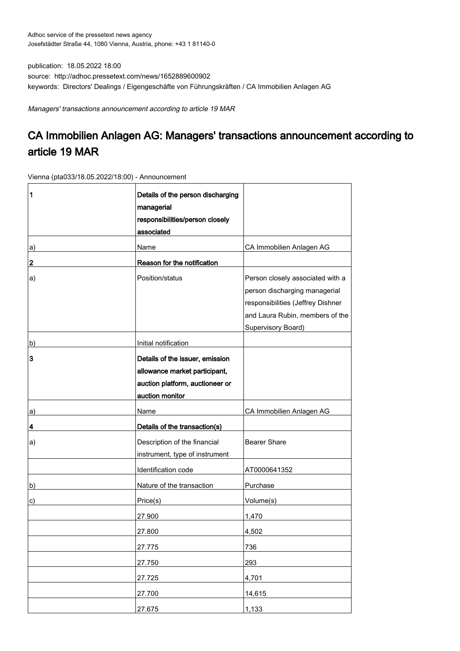publication: 18.05.2022 18:00 source: http://adhoc.pressetext.com/news/1652889600902 keywords: Directors' Dealings / Eigengeschäfte von Führungskräften / CA Immobilien Anlagen AG

Managers' transactions announcement according to article 19 MAR

## CA Immobilien Anlagen AG: Managers' transactions announcement according to article 19 MAR

Vienna (pta033/18.05.2022/18:00) - Announcement

| 1  | Details of the person discharging<br>managerial<br>responsibilities/person closely<br>associated                       |                                                                                                                                                                 |
|----|------------------------------------------------------------------------------------------------------------------------|-----------------------------------------------------------------------------------------------------------------------------------------------------------------|
| a) | Name                                                                                                                   | CA Immobilien Anlagen AG                                                                                                                                        |
| 2  | Reason for the notification                                                                                            |                                                                                                                                                                 |
| a) | Position/status                                                                                                        | Person closely associated with a<br>person discharging managerial<br>responsibilities (Jeffrey Dishner<br>and Laura Rubin, members of the<br>Supervisory Board) |
| b) | Initial notification                                                                                                   |                                                                                                                                                                 |
| 3  | Details of the issuer, emission<br>allowance market participant,<br>auction platform, auctioneer or<br>auction monitor |                                                                                                                                                                 |
| a) | Name                                                                                                                   | CA Immobilien Anlagen AG                                                                                                                                        |
| 4  | Details of the transaction(s)                                                                                          |                                                                                                                                                                 |
| a) | Description of the financial<br>instrument, type of instrument                                                         | <b>Bearer Share</b>                                                                                                                                             |
|    | Identification code                                                                                                    | AT0000641352                                                                                                                                                    |
| b) | Nature of the transaction                                                                                              | Purchase                                                                                                                                                        |
| c) | Price(s)                                                                                                               | Volume(s)                                                                                                                                                       |
|    | 27.900                                                                                                                 | 1,470                                                                                                                                                           |
|    | 27.800                                                                                                                 | 4,502                                                                                                                                                           |
|    | 27.775                                                                                                                 | 736                                                                                                                                                             |
|    | 27.750                                                                                                                 | 293                                                                                                                                                             |
|    | 27.725                                                                                                                 | 4,701                                                                                                                                                           |
|    | 27.700                                                                                                                 | 14,615                                                                                                                                                          |
|    | 27.675                                                                                                                 | 1,133                                                                                                                                                           |